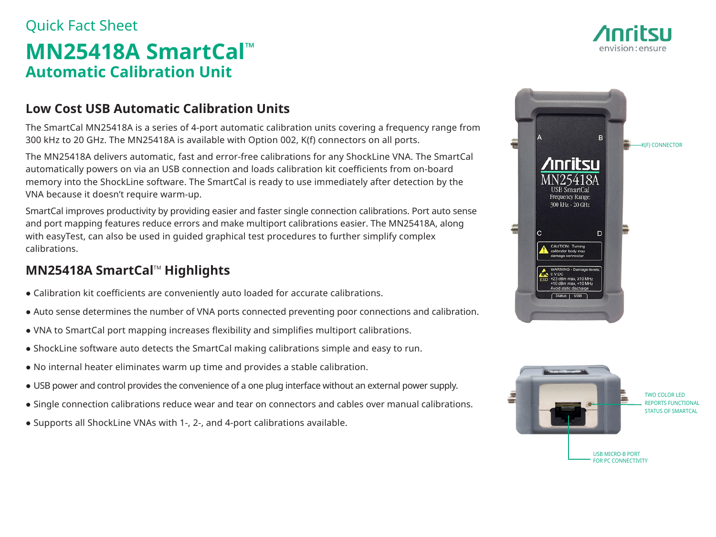# Quick Fact Sheet **MN25418A SmartCal™ Automatic Calibration Unit**

### **Low Cost USB Automatic Calibration Units**

The SmartCal MN25418A is a series of 4-port automatic calibration units covering a frequency range from 300 kHz to 20 GHz. The MN25418A is available with Option 002, K(f) connectors on all ports.

The MN25418A delivers automatic, fast and error-free calibrations for any ShockLine VNA. The SmartCal automatically powers on via an USB connection and loads calibration kit coefficients from on-board memory into the ShockLine software. The SmartCal is ready to use immediately after detection by the VNA because it doesn't require warm-up.

SmartCal improves productivity by providing easier and faster single connection calibrations. Port auto sense and port mapping features reduce errors and make multiport calibrations easier. The MN25418A, along with easyTest, can also be used in guided graphical test procedures to further simplify complex calibrations.

### **MN25418A SmartCal™ Highlights**

- Calibration kit coefficients are conveniently auto loaded for accurate calibrations.
- Auto sense determines the number of VNA ports connected preventing poor connections and calibration.
- VNA to SmartCal port mapping increases flexibility and simplifies multiport calibrations.
- ShockLine software auto detects the SmartCal making calibrations simple and easy to run.
- No internal heater eliminates warm up time and provides a stable calibration.
- USB power and control provides the convenience of a one plug interface without an external power supply.
- Single connection calibrations reduce wear and tear on connectors and cables over manual calibrations.
- Supports all ShockLine VNAs with 1-, 2-, and 4-port calibrations available.